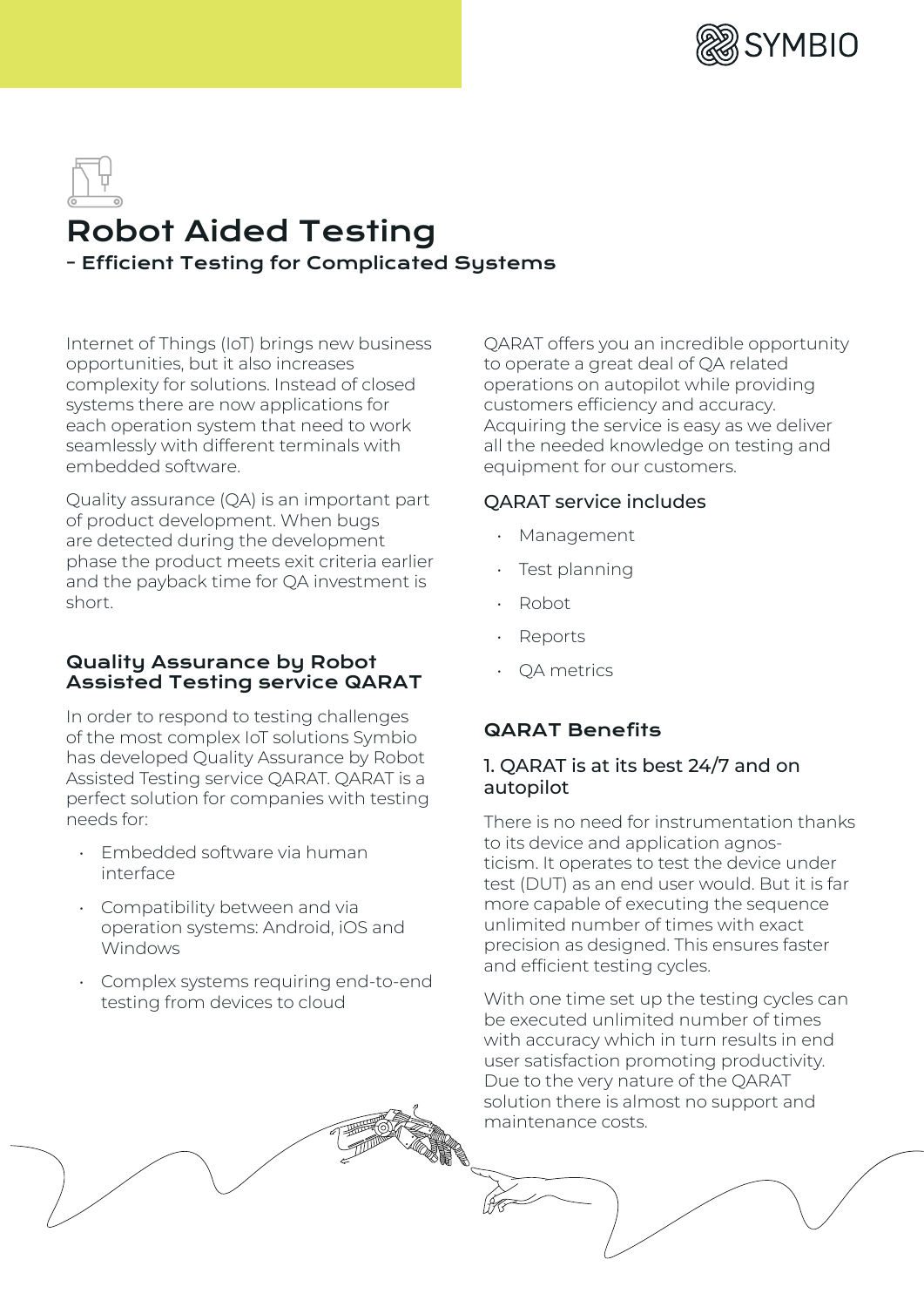

# Robot Aided Testing - Efficient Testing for Complicated Systems

Internet of Things (IoT) brings new business opportunities, but it also increases complexity for solutions. Instead of closed systems there are now applications for each operation system that need to work seamlessly with different terminals with embedded software.

Quality assurance (QA) is an important part of product development. When bugs are detected during the development phase the product meets exit criteria earlier and the payback time for QA investment is short.

## Quality Assurance by Robot Assisted Testing service QARAT

In order to respond to testing challenges of the most complex IoT solutions Symbio has developed Quality Assurance by Robot Assisted Testing service QARAT. QARAT is a perfect solution for companies with testing needs for:

- Embedded software via human interface
- Compatibility between and via operation systems: Android, iOS and Windows
- Complex systems requiring end-to-end testing from devices to cloud

QARAT offers you an incredible opportunity to operate a great deal of QA related operations on autopilot while providing customers efficiency and accuracy. Acquiring the service is easy as we deliver all the needed knowledge on testing and equipment for our customers.

# QARAT service includes

- Management
- Test planning
- Robot
- **Reports**
- QA metrics

# QARAT Benefits

# 1. QARAT is at its best 24/7 and on autopilot

There is no need for instrumentation thanks to its device and application agnosticism. It operates to test the device under test (DUT) as an end user would. But it is far more capable of executing the sequence unlimited number of times with exact precision as designed. This ensures faster and efficient testing cycles.

With one time set up the testing cycles can be executed unlimited number of times with accuracy which in turn results in end user satisfaction promoting productivity. Due to the very nature of the QARAT solution there is almost no support and maintenance costs.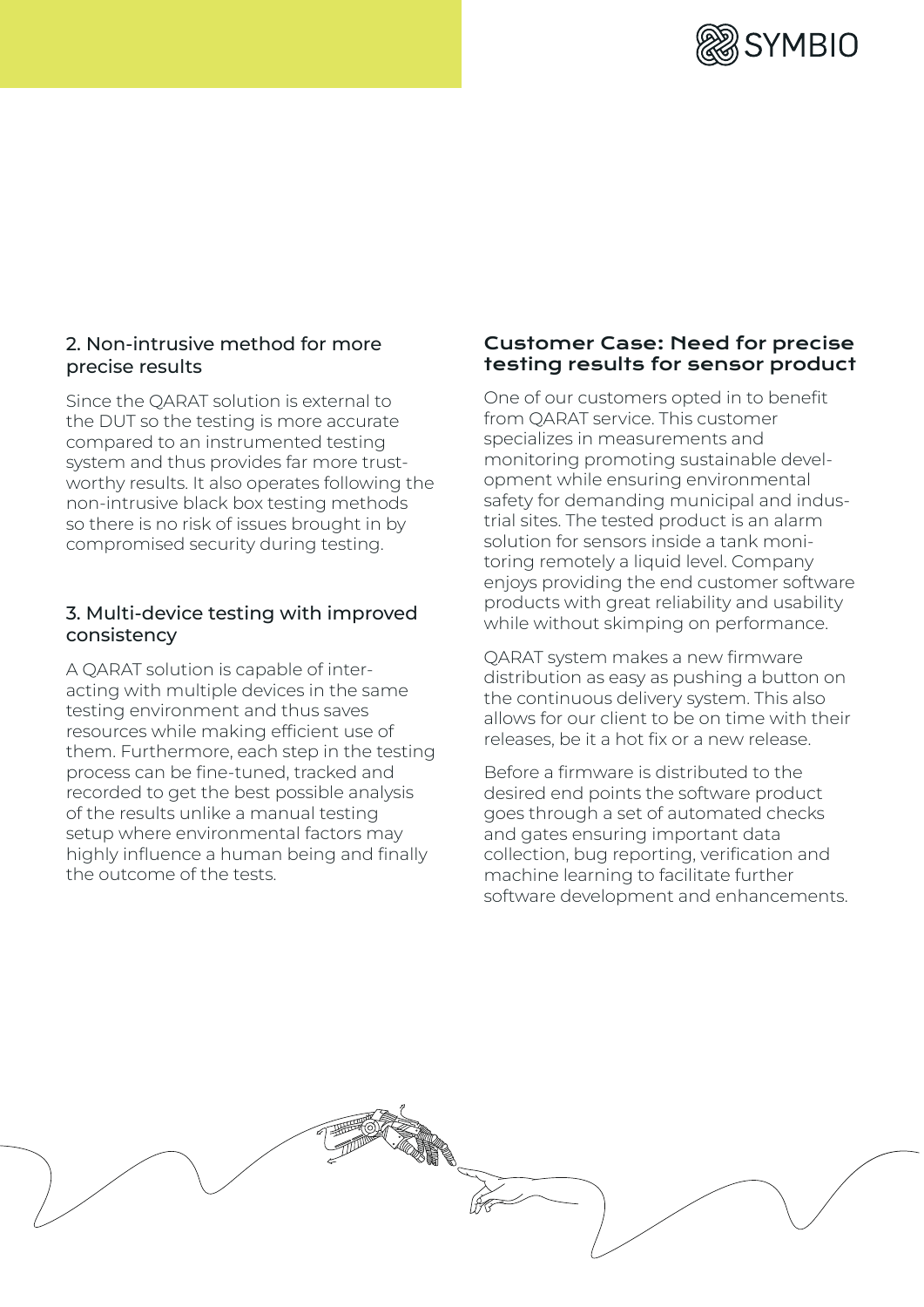

# 2. Non-intrusive method for more precise results

Since the QARAT solution is external to the DUT so the testing is more accurate compared to an instrumented testing system and thus provides far more trustworthy results. It also operates following the non-intrusive black box testing methods so there is no risk of issues brought in by compromised security during testing.

## 3. Multi-device testing with improved consistency

A QARAT solution is capable of interacting with multiple devices in the same testing environment and thus saves resources while making efficient use of them. Furthermore, each step in the testing process can be fine-tuned, tracked and recorded to get the best possible analysis of the results unlike a manual testing setup where environmental factors may highly influence a human being and finally the outcome of the tests.

#### Customer Case: Need for precise testing results for sensor product

One of our customers opted in to benefit from QARAT service. This customer specializes in measurements and monitoring promoting sustainable development while ensuring environmental safety for demanding municipal and industrial sites. The tested product is an alarm solution for sensors inside a tank monitoring remotely a liquid level. Company enjoys providing the end customer software products with great reliability and usability while without skimping on performance.

QARAT system makes a new firmware distribution as easy as pushing a button on the continuous delivery system. This also allows for our client to be on time with their releases, be it a hot fix or a new release.

Before a firmware is distributed to the desired end points the software product goes through a set of automated checks and gates ensuring important data collection, bug reporting, verification and machine learning to facilitate further software development and enhancements.